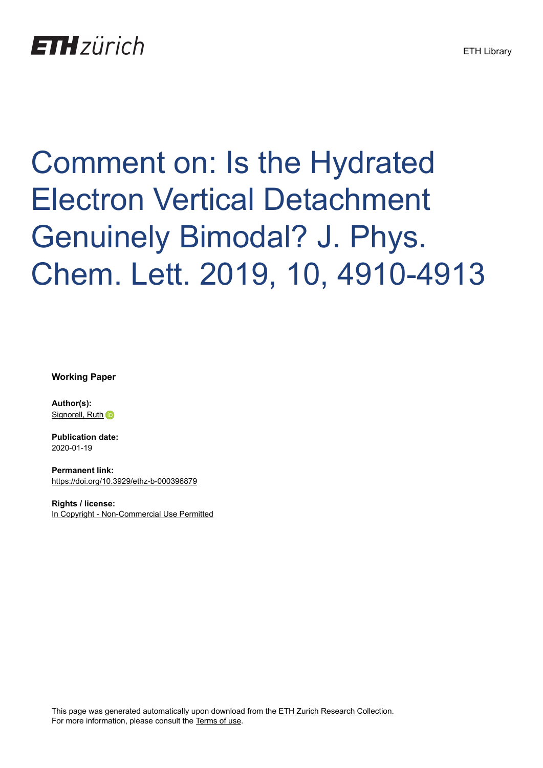## **ETH** zürich

## Comment on: Is the Hydrated Electron Vertical Detachment Genuinely Bimodal? J. Phys. Chem. Lett. 2019, 10, 4910-4913

**Working Paper**

**Author(s):** [Signorell, Ruth](https://orcid.org/0000-0003-1111-9261) in

**Publication date:** 2020-01-19

**Permanent link:** <https://doi.org/10.3929/ethz-b-000396879>

**Rights / license:** [In Copyright - Non-Commercial Use Permitted](http://rightsstatements.org/page/InC-NC/1.0/)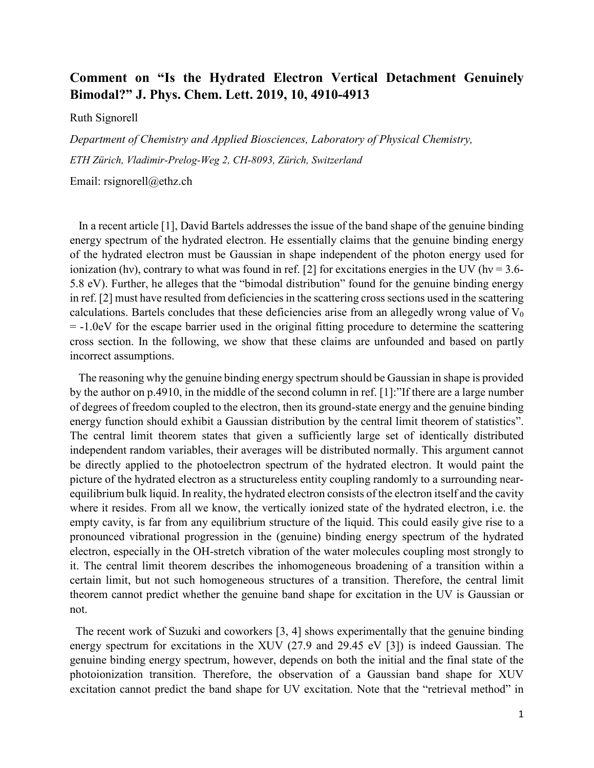## **Comment on "Is the Hydrated Electron Vertical Detachment Genuinely Bimodal?" J. Phys. Chem. Lett. 2019, 10, 4910-4913**

Ruth Signorell

*Department of Chemistry and Applied Biosciences, Laboratory of Physical Chemistry, ETH Zürich, Vladimir-Prelog-Weg 2, CH-8093, Zürich, Switzerland*

Email: rsignorell@ethz.ch

 In a recent article [1], David Bartels addresses the issue of the band shape of the genuine binding energy spectrum of the hydrated electron. He essentially claims that the genuine binding energy of the hydrated electron must be Gaussian in shape independent of the photon energy used for ionization (hv), contrary to what was found in ref. [2] for excitations energies in the UV (hv =  $3.6-$ 5.8 eV). Further, he alleges that the "bimodal distribution" found for the genuine binding energy in ref. [2] must have resulted from deficiencies in the scattering cross sections used in the scattering calculations. Bartels concludes that these deficiencies arise from an allegedly wrong value of  $V_0$ = -1.0eV for the escape barrier used in the original fitting procedure to determine the scattering cross section. In the following, we show that these claims are unfounded and based on partly incorrect assumptions.

 The reasoning why the genuine binding energy spectrum should be Gaussian in shape is provided by the author on p.4910, in the middle of the second column in ref. [1]:"If there are a large number of degrees of freedom coupled to the electron, then its ground-state energy and the genuine binding energy function should exhibit a Gaussian distribution by the central limit theorem of statistics". The central limit theorem states that given a sufficiently large set of identically distributed independent random variables, their averages will be distributed normally. This argument cannot be directly applied to the photoelectron spectrum of the hydrated electron. It would paint the picture of the hydrated electron as a structureless entity coupling randomly to a surrounding nearequilibrium bulk liquid. In reality, the hydrated electron consists of the electron itself and the cavity where it resides. From all we know, the vertically ionized state of the hydrated electron, i.e. the empty cavity, is far from any equilibrium structure of the liquid. This could easily give rise to a pronounced vibrational progression in the (genuine) binding energy spectrum of the hydrated electron, especially in the OH-stretch vibration of the water molecules coupling most strongly to it. The central limit theorem describes the inhomogeneous broadening of a transition within a certain limit, but not such homogeneous structures of a transition. Therefore, the central limit theorem cannot predict whether the genuine band shape for excitation in the UV is Gaussian or not.

 The recent work of Suzuki and coworkers [3, 4] shows experimentally that the genuine binding energy spectrum for excitations in the XUV (27.9 and 29.45 eV [3]) is indeed Gaussian. The genuine binding energy spectrum, however, depends on both the initial and the final state of the photoionization transition. Therefore, the observation of a Gaussian band shape for XUV excitation cannot predict the band shape for UV excitation. Note that the "retrieval method" in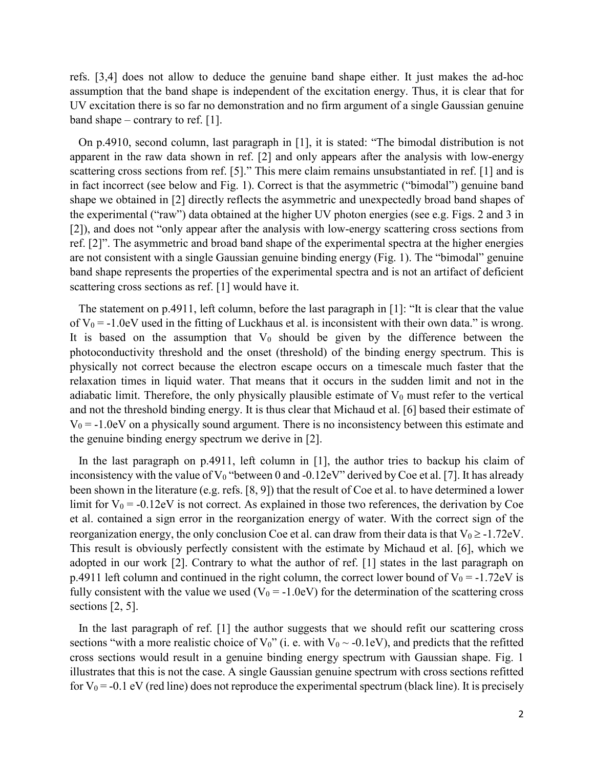refs. [3,4] does not allow to deduce the genuine band shape either. It just makes the ad-hoc assumption that the band shape is independent of the excitation energy. Thus, it is clear that for UV excitation there is so far no demonstration and no firm argument of a single Gaussian genuine band shape – contrary to ref. [1].

 On p.4910, second column, last paragraph in [1], it is stated: "The bimodal distribution is not apparent in the raw data shown in ref. [2] and only appears after the analysis with low-energy scattering cross sections from ref. [5]." This mere claim remains unsubstantiated in ref. [1] and is in fact incorrect (see below and Fig. 1). Correct is that the asymmetric ("bimodal") genuine band shape we obtained in [2] directly reflects the asymmetric and unexpectedly broad band shapes of the experimental ("raw") data obtained at the higher UV photon energies (see e.g. Figs. 2 and 3 in [2]), and does not "only appear after the analysis with low-energy scattering cross sections from ref. [2]". The asymmetric and broad band shape of the experimental spectra at the higher energies are not consistent with a single Gaussian genuine binding energy (Fig. 1). The "bimodal" genuine band shape represents the properties of the experimental spectra and is not an artifact of deficient scattering cross sections as ref. [1] would have it.

 The statement on p.4911, left column, before the last paragraph in [1]: "It is clear that the value of  $V_0 = -1.0$ eV used in the fitting of Luckhaus et al. is inconsistent with their own data." is wrong. It is based on the assumption that  $V_0$  should be given by the difference between the photoconductivity threshold and the onset (threshold) of the binding energy spectrum. This is physically not correct because the electron escape occurs on a timescale much faster that the relaxation times in liquid water. That means that it occurs in the sudden limit and not in the adiabatic limit. Therefore, the only physically plausible estimate of  $V_0$  must refer to the vertical and not the threshold binding energy. It is thus clear that Michaud et al. [6] based their estimate of  $V_0 = -1.0$ eV on a physically sound argument. There is no inconsistency between this estimate and the genuine binding energy spectrum we derive in [2].

In the last paragraph on p.4911, left column in [1], the author tries to backup his claim of inconsistency with the value of  $V_0$  "between 0 and -0.12eV" derived by Coe et al. [7]. It has already been shown in the literature (e.g. refs. [8, 9]) that the result of Coe et al. to have determined a lower limit for  $V_0 = -0.12$ eV is not correct. As explained in those two references, the derivation by Coe et al. contained a sign error in the reorganization energy of water. With the correct sign of the reorganization energy, the only conclusion Coe et al. can draw from their data is that  $V_0 \ge -1.72$ eV. This result is obviously perfectly consistent with the estimate by Michaud et al. [6], which we adopted in our work [2]. Contrary to what the author of ref. [1] states in the last paragraph on p.4911 left column and continued in the right column, the correct lower bound of  $V_0 = -1.72$ eV is fully consistent with the value we used ( $V_0 = -1.0$ eV) for the determination of the scattering cross sections [2, 5].

 In the last paragraph of ref. [1] the author suggests that we should refit our scattering cross sections "with a more realistic choice of  $V_0$ " (i. e. with  $V_0 \sim -0.1$ eV), and predicts that the refitted cross sections would result in a genuine binding energy spectrum with Gaussian shape. Fig. 1 illustrates that this is not the case. A single Gaussian genuine spectrum with cross sections refitted for  $V_0$  = -0.1 eV (red line) does not reproduce the experimental spectrum (black line). It is precisely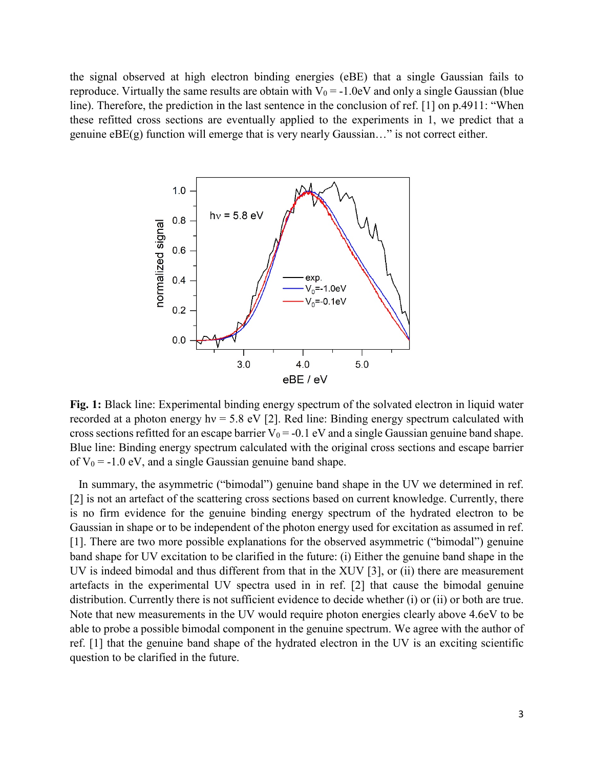the signal observed at high electron binding energies (eBE) that a single Gaussian fails to reproduce. Virtually the same results are obtain with  $V_0 = -1.0$  eV and only a single Gaussian (blue line). Therefore, the prediction in the last sentence in the conclusion of ref. [1] on p.4911: "When these refitted cross sections are eventually applied to the experiments in 1, we predict that a genuine  $eBE(g)$  function will emerge that is very nearly Gaussian..." is not correct either.



**Fig. 1:** Black line: Experimental binding energy spectrum of the solvated electron in liquid water recorded at a photon energy hv = 5.8 eV [2]. Red line: Binding energy spectrum calculated with cross sections refitted for an escape barrier  $V_0 = -0.1$  eV and a single Gaussian genuine band shape. Blue line: Binding energy spectrum calculated with the original cross sections and escape barrier of  $V_0 = -1.0$  eV, and a single Gaussian genuine band shape.

 In summary, the asymmetric ("bimodal") genuine band shape in the UV we determined in ref. [2] is not an artefact of the scattering cross sections based on current knowledge. Currently, there is no firm evidence for the genuine binding energy spectrum of the hydrated electron to be Gaussian in shape or to be independent of the photon energy used for excitation as assumed in ref. [1]. There are two more possible explanations for the observed asymmetric ("bimodal") genuine band shape for UV excitation to be clarified in the future: (i) Either the genuine band shape in the UV is indeed bimodal and thus different from that in the XUV [3], or (ii) there are measurement artefacts in the experimental UV spectra used in in ref. [2] that cause the bimodal genuine distribution. Currently there is not sufficient evidence to decide whether (i) or (ii) or both are true. Note that new measurements in the UV would require photon energies clearly above 4.6eV to be able to probe a possible bimodal component in the genuine spectrum. We agree with the author of ref. [1] that the genuine band shape of the hydrated electron in the UV is an exciting scientific question to be clarified in the future.